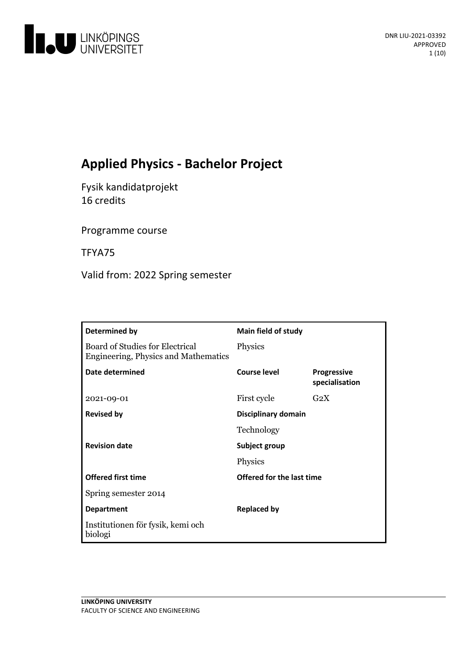

# **Applied Physics - Bachelor Project**

Fysik kandidatprojekt 16 credits

Programme course

TFYA75

Valid from: 2022 Spring semester

| Determined by                                                           | <b>Main field of study</b>       |                                      |
|-------------------------------------------------------------------------|----------------------------------|--------------------------------------|
| Board of Studies for Electrical<br>Engineering, Physics and Mathematics | Physics                          |                                      |
| Date determined                                                         | <b>Course level</b>              | <b>Progressive</b><br>specialisation |
| 2021-09-01                                                              | First cycle                      | $G_2X$                               |
| <b>Revised by</b>                                                       | Disciplinary domain              |                                      |
|                                                                         | Technology                       |                                      |
| <b>Revision date</b>                                                    | Subject group                    |                                      |
|                                                                         | Physics                          |                                      |
| <b>Offered first time</b>                                               | <b>Offered for the last time</b> |                                      |
| Spring semester 2014                                                    |                                  |                                      |
| <b>Department</b>                                                       | <b>Replaced by</b>               |                                      |
| Institutionen för fysik, kemi och<br>biologi                            |                                  |                                      |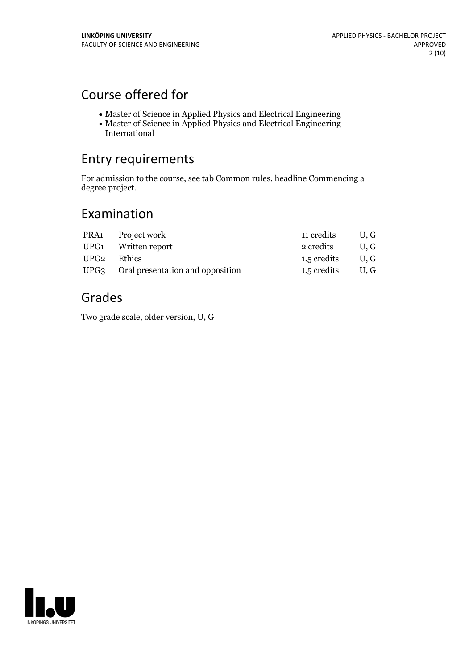# Course offered for

- Master of Science in Applied Physics and Electrical Engineering
- Master of Science in Applied Physics and Electrical Engineering International

# Entry requirements

For admission to the course, see tab Common rules, headline Commencing a degree project.

# Examination

|             | PRA1 Project work                     | 11 credits         | U.G |
|-------------|---------------------------------------|--------------------|-----|
|             | UPG1 Written report                   | 2 credits          | U.G |
| UPG2 Ethics |                                       | 1.5 credits U, G   |     |
|             | UPG3 Oral presentation and opposition | $1.5$ credits U, G |     |

# Grades

Two grade scale, older version, U, G

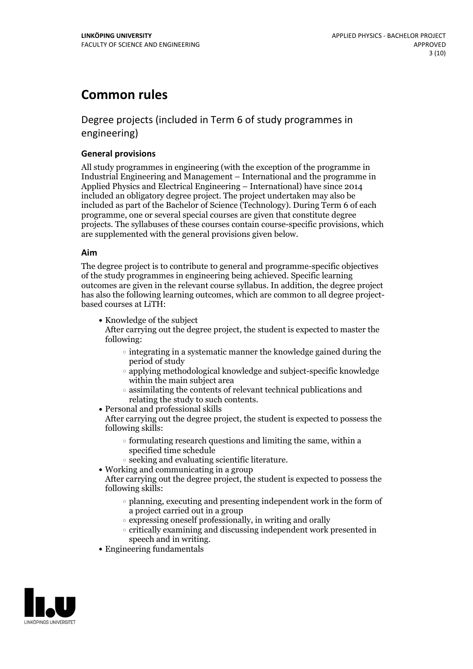# **Common rules**

# Degree projects (included in Term 6 of study programmes in engineering)

### **General provisions**

All study programmes in engineering (with the exception of the programme in Industrial Engineering and Management – International and the programme in Applied Physics and Electrical Engineering – International) have since 2014 included an obligatory degree project. The project undertaken may also be included as part of the Bachelor of Science (Technology). During Term 6 of each programme, one or several special courses are given that constitute degree projects. The syllabuses of these courses contain course-specific provisions, which are supplemented with the general provisions given below.

#### **Aim**

The degree project is to contribute to general and programme-specific objectives of the study programmes in engineering being achieved. Specific learning outcomes are given in the relevant course syllabus. In addition, the degree project has also the following learning outcomes, which are common to all degree project- based courses at LiTH:

• Knowledge of the subject

After carrying out the degree project, the student is expected to master the following:

- $\circ$  integrating in a systematic manner the knowledge gained during the period of study
- applying methodological knowledge and subject-specific knowledge within the main subject area
- $\circ$  assimilating the contents of relevant technical publications and relating the study to such contents.<br>• Personal and professional skills
- 

After carrying out the degree project, the student is expected to possess the following skills:

- $\circ$  formulating research questions and limiting the same, within a specified time schedule
- $\circ$  seeking and evaluating scientific literature.<br>  $\bullet$  Working and communicating in a group
- 
- After carrying out the degree project, the student is expected to possess the following skills:
	- $\circ$  planning, executing and presenting independent work in the form of a project carried out in a group
	- $\circ$  expressing oneself professionally, in writing and orally
	- critically examining and discussing independent work presented in
- speech and in writing.<br>• Engineering fundamentals

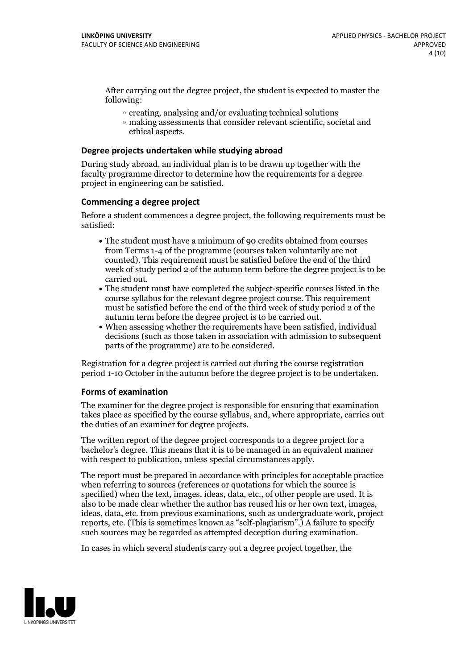After carrying out the degree project, the student is expected to master the following:

- $\circ$  creating, analysing and/or evaluating technical solutions
- making assessments that consider relevant scientific, societal and ethical aspects.

#### **Degree projects undertaken while studying abroad**

During study abroad, an individual plan is to be drawn up together with the faculty programme director to determine how the requirements for a degree project in engineering can be satisfied.

#### **Commencing a degree project**

Before a student commences a degree project, the following requirements must be satisfied:

- The student must have a minimum of 90 credits obtained from courses from Terms 1-4 of the programme (courses taken voluntarily are not counted). This requirement must be satisfied before the end of the third week of study period 2 of the autumn term before the degree project is to be carried out.<br>• The student must have completed the subject-specific courses listed in the
- course syllabus for the relevant degree project course. This requirement must be satisfied before the end of the third week of study period 2 of the
- $\bullet$  When assessing whether the requirements have been satisfied, individual decisions (such as those taken in association with admission to subsequent parts of the programme) are to be considered.

Registration for a degree project is carried out during the course registration period 1-10 October in the autumn before the degree project is to be undertaken.

#### **Forms of examination**

The examiner for the degree project is responsible for ensuring that examination takes place as specified by the course syllabus, and, where appropriate, carries out the duties of an examiner for degree projects.

The written report of the degree project corresponds to a degree project for a bachelor's degree. This means that it is to be managed in an equivalent manner with respect to publication, unless special circumstances apply.

The report must be prepared in accordance with principles for acceptable practice when referring to sources (references or quotations for which the source is specified) when the text, images, ideas, data, etc., of other people are used. It is also to be made clear whether the author has reused his or her own text, images, ideas, data, etc. from previous examinations, such as undergraduate work, project reports, etc. (This is sometimes known as"self-plagiarism".) A failure to specify such sources may be regarded as attempted deception during examination.

In cases in which several students carry out a degree project together, the

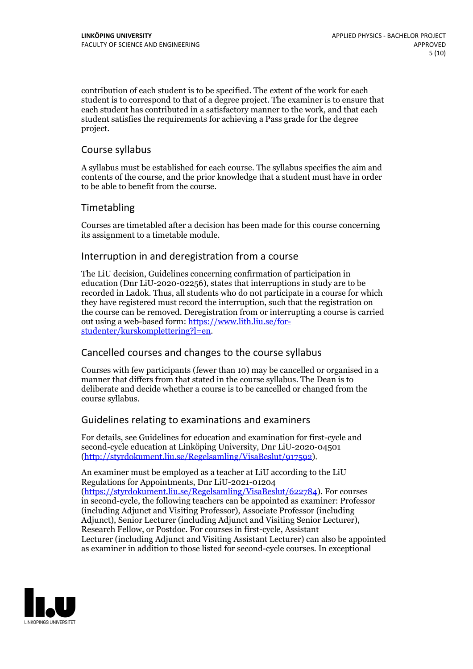contribution of each student is to be specified. The extent of the work for each student is to correspond to that of a degree project. The examiner is to ensure that each student has contributed in a satisfactory manner to the work, and that each student satisfies the requirements for achieving a Pass grade for the degree project.

## Course syllabus

A syllabus must be established for each course. The syllabus specifies the aim and contents of the course, and the prior knowledge that a student must have in order to be able to benefit from the course.

# Timetabling

Courses are timetabled after a decision has been made for this course concerning its assignment to a timetable module.

## Interruption in and deregistration from a course

The LiU decision, Guidelines concerning confirmation of participation in education (Dnr LiU-2020-02256), states that interruptions in study are to be recorded in Ladok. Thus, all students who do not participate in a course for which they have registered must record the interruption, such that the registration on the course can be removed. Deregistration from or interrupting a course is carried out using <sup>a</sup> web-based form: https://www.lith.liu.se/for- [studenter/kurskomplettering?l=en.](https://www.lith.liu.se/for-studenter/kurskomplettering?l=en)

# Cancelled coursesand changes to the course syllabus

Courses with few participants (fewer than 10) may be cancelled or organised in a manner that differs from that stated in the course syllabus. The Dean is to deliberate and decide whether a course is to be cancelled or changed from the course syllabus.

## Guidelines relating to examinations and examiners

For details, see Guidelines for education and examination for first-cycle and second-cycle education at Linköping University, Dnr LiU-2020-04501 [\(http://styrdokument.liu.se/Regelsamling/VisaBeslut/917592\)](http://styrdokument.liu.se/Regelsamling/VisaBeslut/917592).

An examiner must be employed as a teacher at LiU according to the LiU Regulations for Appointments, Dnr LiU-2021-01204 [\(https://styrdokument.liu.se/Regelsamling/VisaBeslut/622784](https://styrdokument.liu.se/Regelsamling/VisaBeslut/622784)). For courses in second-cycle, the following teachers can be appointed as examiner: Professor (including Adjunct and Visiting Professor), Associate Professor (including Adjunct), Senior Lecturer (including Adjunct and Visiting Senior Lecturer), Research Fellow, or Postdoc. For courses in first-cycle, Assistant Lecturer (including Adjunct and Visiting Assistant Lecturer) can also be appointed as examiner in addition to those listed for second-cycle courses. In exceptional

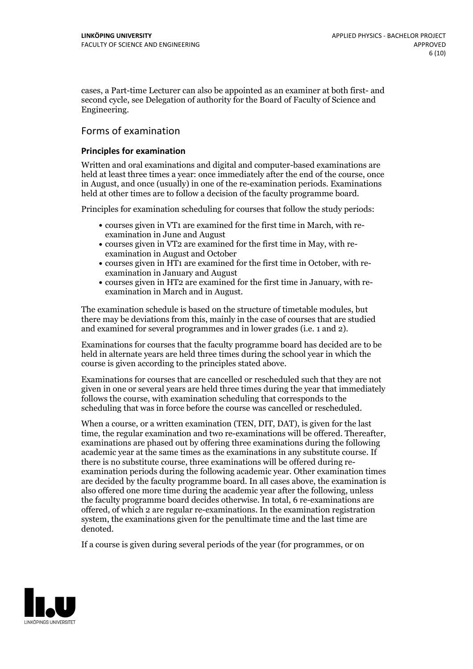cases, a Part-time Lecturer can also be appointed as an examiner at both first- and second cycle, see Delegation of authority for the Board of Faculty of Science and Engineering.

# Forms of examination

#### **Principles for examination**

Written and oral examinations and digital and computer-based examinations are held at least three times a year: once immediately after the end of the course, once in August, and once (usually) in one of the re-examination periods. Examinations held at other times are to follow a decision of the faculty programme board.

Principles for examination scheduling for courses that follow the study periods:

- courses given in VT1 are examined for the first time in March, with re-examination in June and August
- courses given in VT2 are examined for the first time in May, with re-examination in August and October
- courses given in HT1 are examined for the first time in October, with re-examination in January and August
- courses given in HT2 are examined for the first time in January, with re-examination in March and in August.

The examination schedule is based on the structure of timetable modules, but there may be deviations from this, mainly in the case of courses that are studied and examined for several programmes and in lower grades (i.e. 1 and 2).

Examinations for courses that the faculty programme board has decided are to be held in alternate years are held three times during the school year in which the course is given according to the principles stated above.

Examinations for courses that are cancelled or rescheduled such that they are not given in one or several years are held three times during the year that immediately follows the course, with examination scheduling that corresponds to the scheduling that was in force before the course was cancelled or rescheduled.

When a course, or a written examination (TEN, DIT, DAT), is given for the last time, the regular examination and two re-examinations will be offered. Thereafter, examinations are phased out by offering three examinations during the following academic year at the same times as the examinations in any substitute course. If there is no substitute course, three examinations will be offered during re- examination periods during the following academic year. Other examination times are decided by the faculty programme board. In all cases above, the examination is also offered one more time during the academic year after the following, unless the faculty programme board decides otherwise. In total, 6 re-examinations are offered, of which 2 are regular re-examinations. In the examination registration system, the examinations given for the penultimate time and the last time are denoted.

If a course is given during several periods of the year (for programmes, or on

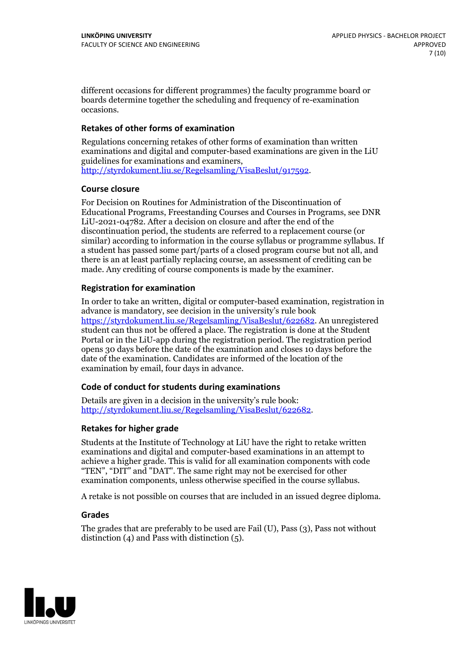different occasions for different programmes) the faculty programme board or boards determine together the scheduling and frequency of re-examination occasions.

### **Retakes of other forms of examination**

Regulations concerning retakes of other forms of examination than written examinations and digital and computer-based examinations are given in the LiU [http://styrdokument.liu.se/Regelsamling/VisaBeslut/917592.](http://styrdokument.liu.se/Regelsamling/VisaBeslut/917592)

#### **Course closure**

For Decision on Routines for Administration of the Discontinuation of Educational Programs, Freestanding Courses and Courses in Programs, see DNR LiU-2021-04782. After a decision on closure and after the end of the discontinuation period, the students are referred to a replacement course (or similar) according to information in the course syllabus or programme syllabus. If a student has passed some part/parts of a closed program course but not all, and there is an at least partially replacing course, an assessment of crediting can be made. Any crediting of course components is made by the examiner.

### **Registration for examination**

In order to take an written, digital or computer-based examination, registration in advance is mandatory, see decision in the university's rule book [https://styrdokument.liu.se/Regelsamling/VisaBeslut/622682.](https://styrdokument.liu.se/Regelsamling/VisaBeslut/622682) An unregistered student can thus not be offered a place. The registration is done at the Student Portal or in the LiU-app during the registration period. The registration period opens 30 days before the date of the examination and closes 10 days before the date of the examination. Candidates are informed of the location of the examination by email, four days in advance.

#### **Code of conduct for students during examinations**

Details are given in a decision in the university's rule book: <http://styrdokument.liu.se/Regelsamling/VisaBeslut/622682>.

## **Retakes for higher grade**

Students at the Institute of Technology at LiU have the right to retake written examinations and digital and computer-based examinations in an attempt to achieve a higher grade. This is valid for all examination components with code "TEN", "DIT" and "DAT". The same right may not be exercised for other examination components, unless otherwise specified in the course syllabus.

A retake is not possible on courses that are included in an issued degree diploma.

## **Grades**

The grades that are preferably to be used are Fail (U), Pass (3), Pass not without distinction  $(4)$  and Pass with distinction  $(5)$ .

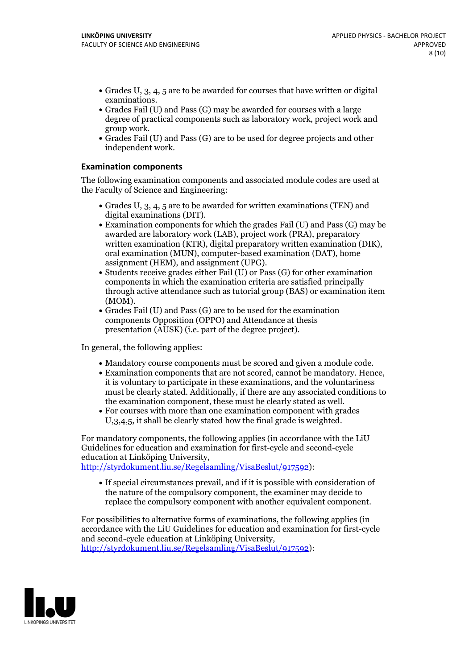- Grades U, 3, 4, 5 are to be awarded for courses that have written or digital examinations.<br>• Grades Fail (U) and Pass (G) may be awarded for courses with a large
- degree of practical components such as laboratory work, project work and
- group work. Grades Fail (U) and Pass (G) are to be used for degree projects and other independent work.

### **Examination components**

The following examination components and associated module codes are used at the Faculty of Science and Engineering:

- Grades U,  $3$ ,  $4$ ,  $5$  are to be awarded for written examinations (TEN) and digital examinations (DIT).
- $\bullet$  Examination components for which the grades Fail (U) and Pass (G) may be awarded are laboratory work (LAB), project work (PRA), preparatory written examination (KTR), digital preparatory written examination (DIK), oral examination (MUN), computer-based examination (DAT), home
- assignment (HEM), and assignment (UPG).<br>• Students receive grades either Fail (U) or Pass (G) for other examination components in which the examination criteria are satisfied principally through active attendance such as tutorial group (BAS) or examination item (MOM).<br>• Grades Fail (U) and Pass (G) are to be used for the examination
- components Opposition (OPPO) and Attendance at thesis presentation (AUSK) (i.e. part of the degree project).

In general, the following applies:

- 
- Mandatory course components must be scored and given <sup>a</sup> module code. Examination components that are not scored, cannot be mandatory. Hence, it is voluntary to participate in these examinations, and the voluntariness must be clearly stated. Additionally, if there are any associated conditions to
- the examination component, these must be clearly stated as well.<br>• For courses with more than one examination component with grades U,3,4,5, it shall be clearly stated how the final grade is weighted.

For mandatory components, the following applies (in accordance with the LiU Guidelines for education and examination for first-cycle and second-cycle education at Linköping University,

[http://styrdokument.liu.se/Regelsamling/VisaBeslut/917592\)](http://styrdokument.liu.se/Regelsamling/VisaBeslut/917592):

If special circumstances prevail, and if it is possible with consideration of the nature of the compulsory component, the examiner may decide to replace the compulsory component with another equivalent component.

For possibilities to alternative forms of examinations, the following applies (in accordance with the LiU Guidelines for education and examination for first-cycle [http://styrdokument.liu.se/Regelsamling/VisaBeslut/917592\)](http://styrdokument.liu.se/Regelsamling/VisaBeslut/917592):

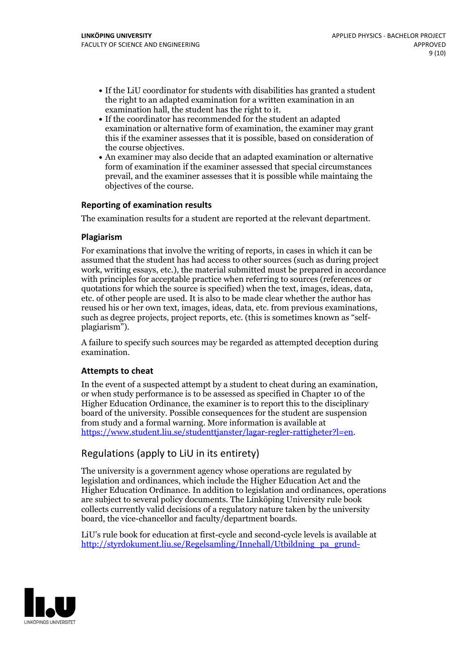- If the LiU coordinator for students with disabilities has granted a student the right to an adapted examination for a written examination in an
- $\bullet$  If the coordinator has recommended for the student an adapted examination or alternative form of examination, the examiner may grant this if the examiner assesses that it is possible, based on consideration of the course objectives. An examiner may also decide that an adapted examination or alternative
- form of examination if the examiner assessed that special circumstances prevail, and the examiner assesses that it is possible while maintaing the objectives of the course.

## **Reporting of examination results**

The examination results for a student are reported at the relevant department.

### **Plagiarism**

For examinations that involve the writing of reports, in cases in which it can be assumed that the student has had access to other sources (such as during project work, writing essays, etc.), the material submitted must be prepared in accordance with principles for acceptable practice when referring to sources (references or quotations for which the source is specified) when the text, images, ideas, data, etc. of other people are used. It is also to be made clear whether the author has reused his or her own text, images, ideas, data, etc. from previous examinations, such as degree projects, project reports, etc. (this is sometimes known as "self- plagiarism").

A failure to specify such sources may be regarded as attempted deception during examination.

## **Attempts to cheat**

In the event of <sup>a</sup> suspected attempt by <sup>a</sup> student to cheat during an examination, or when study performance is to be assessed as specified in Chapter <sup>10</sup> of the Higher Education Ordinance, the examiner is to report this to the disciplinary board of the university. Possible consequences for the student are suspension from study and a formal warning. More information is available at <https://www.student.liu.se/studenttjanster/lagar-regler-rattigheter?l=en>.

# Regulations (apply to LiU in its entirety)

The university is a government agency whose operations are regulated by legislation and ordinances, which include the Higher Education Act and the Higher Education Ordinance. In addition to legislation and ordinances, operations are subject to several policy documents. The Linköping University rule book collects currently valid decisions of a regulatory nature taken by the university board, the vice-chancellor and faculty/department boards.

LiU's rule book for education at first-cycle and second-cycle levels is available at [http://styrdokument.liu.se/Regelsamling/Innehall/Utbildning\\_pa\\_grund-](http://styrdokument.liu.se/Regelsamling/Innehall/Utbildning_pa_grund-_och_avancerad_niva)